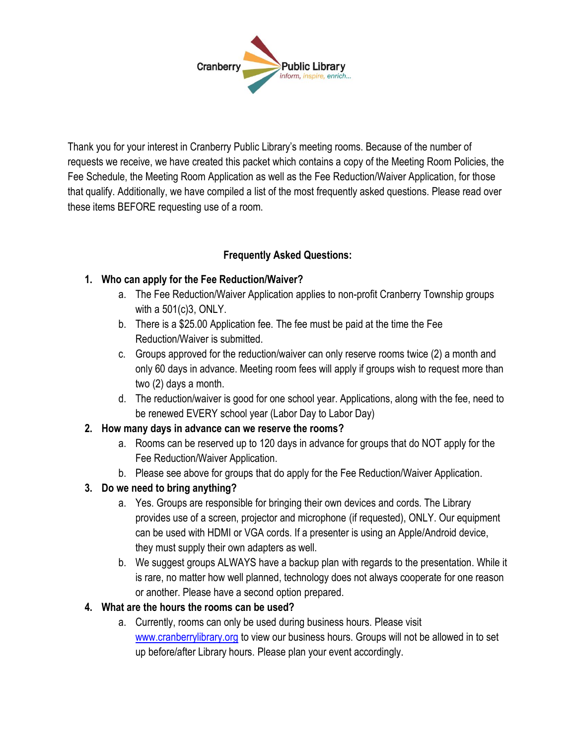

Thank you for your interest in Cranberry Public Library's meeting rooms. Because of the number of requests we receive, we have created this packet which contains a copy of the Meeting Room Policies, the Fee Schedule, the Meeting Room Application as well as the Fee Reduction/Waiver Application, for those that qualify. Additionally, we have compiled a list of the most frequently asked questions. Please read over these items BEFORE requesting use of a room.

### **Frequently Asked Questions:**

### **1. Who can apply for the Fee Reduction/Waiver?**

- a. The Fee Reduction/Waiver Application applies to non-profit Cranberry Township groups with a 501(c)3, ONLY.
- b. There is a \$25.00 Application fee. The fee must be paid at the time the Fee Reduction/Waiver is submitted.
- c. Groups approved for the reduction/waiver can only reserve rooms twice (2) a month and only 60 days in advance. Meeting room fees will apply if groups wish to request more than two (2) days a month.
- d. The reduction/waiver is good for one school year. Applications, along with the fee, need to be renewed EVERY school year (Labor Day to Labor Day)

#### **2. How many days in advance can we reserve the rooms?**

- a. Rooms can be reserved up to 120 days in advance for groups that do NOT apply for the Fee Reduction/Waiver Application.
- b. Please see above for groups that do apply for the Fee Reduction/Waiver Application.
- **3. Do we need to bring anything?** 
	- a. Yes. Groups are responsible for bringing their own devices and cords. The Library provides use of a screen, projector and microphone (if requested), ONLY. Our equipment can be used with HDMI or VGA cords. If a presenter is using an Apple/Android device, they must supply their own adapters as well.
	- b. We suggest groups ALWAYS have a backup plan with regards to the presentation. While it is rare, no matter how well planned, technology does not always cooperate for one reason or another. Please have a second option prepared.

#### **4. What are the hours the rooms can be used?**

a. Currently, rooms can only be used during business hours. Please visit [www.cranberrylibrary.org](http://www.cranberrylibrary.org/) to view our business hours. Groups will not be allowed in to set up before/after Library hours. Please plan your event accordingly.